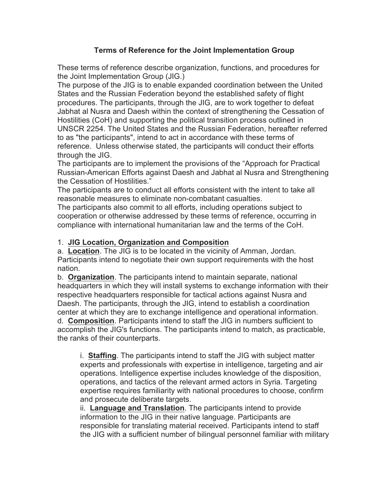# **Terms of Reference for the Joint Implementation Group**

These terms of reference describe organization, functions, and procedures for the Joint Implementation Group (JIG.)

The purpose of the JIG is to enable expanded coordination between the United States and the Russian Federation beyond the established safety of flight procedures. The participants, through the JIG, are to work together to defeat Jabhat al Nusra and Daesh within the context of strengthening the Cessation of Hostilities (CoH) and supporting the political transition process outlined in UNSCR 2254. The United States and the Russian Federation, hereafter referred to as "the participants", intend to act in accordance with these terms of reference. Unless otherwise stated, the participants will conduct their efforts through the JIG.

The participants are to implement the provisions of the "Approach for Practical Russian-American Efforts against Daesh and Jabhat al Nusra and Strengthening the Cessation of Hostilities."

The participants are to conduct all efforts consistent with the intent to take all reasonable measures to eliminate non-combatant casualties.

The participants also commit to all efforts, including operations subject to cooperation or otherwise addressed by these terms of reference, occurring in compliance with international humanitarian law and the terms of the CoH.

## 1. **JIG Location, Organization and Composition**

a. **Location**. The JIG is to be located in the vicinity of Amman, Jordan. Participants intend to negotiate their own support requirements with the host nation.

b. **Organization**. The participants intend to maintain separate, national headquarters in which they will install systems to exchange information with their respective headquarters responsible for tactical actions against Nusra and Daesh. The participants, through the JIG, intend to establish a coordination center at which they are to exchange intelligence and operational information. d. **Composition**. Participants intend to staff the JIG in numbers sufficient to accomplish the JIG's functions. The participants intend to match, as practicable, the ranks of their counterparts.

i. **Staffing**. The participants intend to staff the JIG with subject matter experts and professionals with expertise in intelligence, targeting and air operations. Intelligence expertise includes knowledge of the disposition, operations, and tactics of the relevant armed actors in Syria. Targeting expertise requires familiarity with national procedures to choose, confirm and prosecute deliberate targets.

ii. **Language and Translation**. The participants intend to provide information to the JIG in their native language. Participants are responsible for translating material received. Participants intend to staff the JIG with a sufficient number of bilingual personnel familiar with military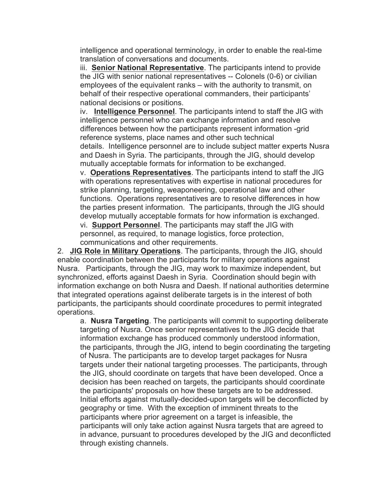intelligence and operational terminology, in order to enable the real-time translation of conversations and documents.

iii. **Senior National Representative**. The participants intend to provide the JIG with senior national representatives -- Colonels (0-6) or civilian employees of the equivalent ranks – with the authority to transmit, on behalf of their respective operational commanders, their participants' national decisions or positions.

iv. **Intelligence Personnel**. The participants intend to staff the JIG with intelligence personnel who can exchange information and resolve differences between how the participants represent information -grid reference systems, place names and other such technical details. Intelligence personnel are to include subject matter experts Nusra and Daesh in Syria. The participants, through the JIG, should develop mutually acceptable formats for information to be exchanged.

v. **Operations Representatives**. The participants intend to staff the JIG with operations representatives with expertise in national procedures for strike planning, targeting, weaponeering, operational law and other functions. Operations representatives are to resolve differences in how the parties present information. The participants, through the JIG should develop mutually acceptable formats for how information is exchanged. vi. **Support Personnel**. The participants may staff the JIG with personnel, as required, to manage logistics, force protection,

communications and other requirements.

2. **JIG Role in Military Operations**. The participants, through the JIG, should enable coordination between the participants for military operations against Nusra. Participants, through the JIG, may work to maximize independent, but synchronized, efforts against Daesh in Syria. Coordination should begin with information exchange on both Nusra and Daesh. If national authorities determine that integrated operations against deliberate targets is in the interest of both participants, the participants should coordinate procedures to permit integrated operations.

a. **Nusra Targeting**. The participants will commit to supporting deliberate targeting of Nusra. Once senior representatives to the JIG decide that information exchange has produced commonly understood information, the participants, through the JIG, intend to begin coordinating the targeting of Nusra. The participants are to develop target packages for Nusra targets under their national targeting processes. The participants, through the JIG, should coordinate on targets that have been developed. Once a decision has been reached on targets, the participants should coordinate the participants' proposals on how these targets are to be addressed. Initial efforts against mutually-decided-upon targets will be deconflicted by geography or time. With the exception of imminent threats to the participants where prior agreement on a target is infeasible, the participants will only take action against Nusra targets that are agreed to in advance, pursuant to procedures developed by the JIG and deconflicted through existing channels.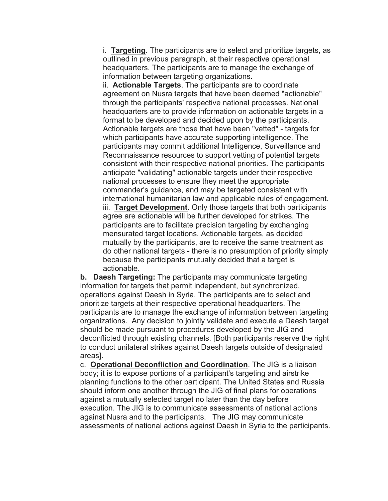i. **Targeting**. The participants are to select and prioritize targets, as outlined in previous paragraph, at their respective operational headquarters. The participants are to manage the exchange of information between targeting organizations.

ii. **Actionable Targets**. The participants are to coordinate agreement on Nusra targets that have been deemed "actionable" through the participants' respective national processes. National headquarters are to provide information on actionable targets in a format to be developed and decided upon by the participants. Actionable targets are those that have been "vetted" - targets for which participants have accurate supporting intelligence. The participants may commit additional Intelligence, Surveillance and Reconnaissance resources to support vetting of potential targets consistent with their respective national priorities. The participants anticipate "validating" actionable targets under their respective national processes to ensure they meet the appropriate commander's guidance, and may be targeted consistent with international humanitarian law and applicable rules of engagement. iii. **Target Development**. Only those targets that both participants agree are actionable will be further developed for strikes. The participants are to facilitate precision targeting by exchanging mensurated target locations. Actionable targets, as decided mutually by the participants, are to receive the same treatment as do other national targets - there is no presumption of priority simply because the participants mutually decided that a target is

actionable. **b. Daesh Targeting:** The participants may communicate targeting information for targets that permit independent, but synchronized, operations against Daesh in Syria. The participants are to select and prioritize targets at their respective operational headquarters. The participants are to manage the exchange of information between targeting organizations. Any decision to jointly validate and execute a Daesh target should be made pursuant to procedures developed by the JIG and deconflicted through existing channels. [Both participants reserve the right to conduct unilateral strikes against Daesh targets outside of designated areas].

c. **Operational Deconfliction and Coordination**. The JIG is a liaison body; it is to expose portions of a participant's targeting and airstrike planning functions to the other participant. The United States and Russia should inform one another through the JIG of final plans for operations against a mutually selected target no later than the day before execution. The JIG is to communicate assessments of national actions against Nusra and to the participants. The JIG may communicate assessments of national actions against Daesh in Syria to the participants.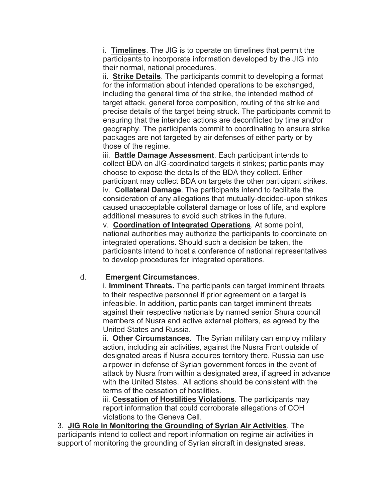i. **Timelines**. The JIG is to operate on timelines that permit the participants to incorporate information developed by the JIG into their normal, national procedures.

ii. **Strike Details**. The participants commit to developing a format for the information about intended operations to be exchanged, including the general time of the strike, the intended method of target attack, general force composition, routing of the strike and precise details of the target being struck. The participants commit to ensuring that the intended actions are deconflicted by time and/or geography. The participants commit to coordinating to ensure strike packages are not targeted by air defenses of either party or by those of the regime.

iii. **Battle Damage Assessment**. Each participant intends to collect BDA on JIG-coordinated targets it strikes; participants may choose to expose the details of the BDA they collect. Either participant may collect BDA on targets the other participant strikes. iv. **Collateral Damage**. The participants intend to facilitate the consideration of any allegations that mutually-decided-upon strikes caused unacceptable collateral damage or loss of life, and explore additional measures to avoid such strikes in the future.

v. **Coordination of Integrated Operations**. At some point, national authorities may authorize the participants to coordinate on integrated operations. Should such a decision be taken, the participants intend to host a conference of national representatives to develop procedures for integrated operations.

#### d. **Emergent Circumstances**.

i. **Imminent Threats.** The participants can target imminent threats to their respective personnel if prior agreement on a target is infeasible. In addition, participants can target imminent threats against their respective nationals by named senior Shura council members of Nusra and active external plotters, as agreed by the United States and Russia.

ii. **Other Circumstances**. The Syrian military can employ military action, including air activities, against the Nusra Front outside of designated areas if Nusra acquires territory there. Russia can use airpower in defense of Syrian government forces in the event of attack by Nusra from within a designated area, if agreed in advance with the United States. All actions should be consistent with the terms of the cessation of hostilities.

iii. **Cessation of Hostilities Violations**. The participants may report information that could corroborate allegations of COH violations to the Geneva Cell.

3. **JIG Role in Monitoring the Grounding of Syrian Air Activities**. The participants intend to collect and report information on regime air activities in support of monitoring the grounding of Syrian aircraft in designated areas.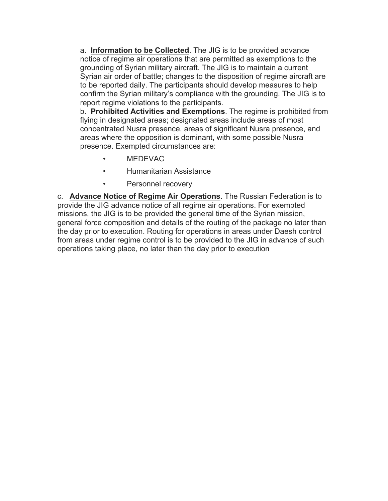a. **Information to be Collected**. The JIG is to be provided advance notice of regime air operations that are permitted as exemptions to the grounding of Syrian military aircraft. The JIG is to maintain a current Syrian air order of battle; changes to the disposition of regime aircraft are to be reported daily. The participants should develop measures to help confirm the Syrian military's compliance with the grounding. The JIG is to report regime violations to the participants.

b. **Prohibited Activities and Exemptions**. The regime is prohibited from flying in designated areas; designated areas include areas of most concentrated Nusra presence, areas of significant Nusra presence, and areas where the opposition is dominant, with some possible Nusra presence. Exempted circumstances are:

- MEDEVAC
- Humanitarian Assistance
- Personnel recovery

c. **Advance Notice of Regime Air Operations**. The Russian Federation is to provide the JIG advance notice of all regime air operations. For exempted missions, the JIG is to be provided the general time of the Syrian mission, general force composition and details of the routing of the package no later than the day prior to execution. Routing for operations in areas under Daesh control from areas under regime control is to be provided to the JIG in advance of such operations taking place, no later than the day prior to execution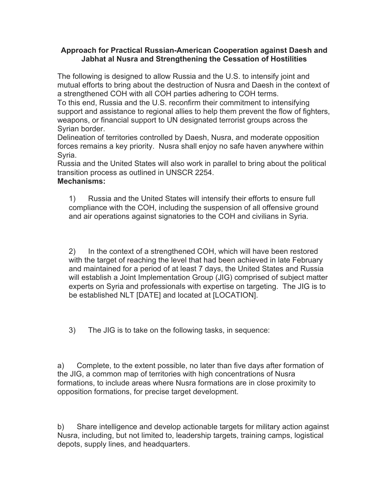#### **Approach for Practical Russian-American Cooperation against Daesh and Jabhat al Nusra and Strengthening the Cessation of Hostilities**

The following is designed to allow Russia and the U.S. to intensify joint and mutual efforts to bring about the destruction of Nusra and Daesh in the context of a strengthened COH with all COH parties adhering to COH terms.

To this end, Russia and the U.S. reconfirm their commitment to intensifying support and assistance to regional allies to help them prevent the flow of fighters, weapons, or financial support to UN designated terrorist groups across the Syrian border.

Delineation of territories controlled by Daesh, Nusra, and moderate opposition forces remains a key priority. Nusra shall enjoy no safe haven anywhere within Syria.

Russia and the United States will also work in parallel to bring about the political transition process as outlined in UNSCR 2254.

### **Mechanisms:**

1) Russia and the United States will intensify their efforts to ensure full compliance with the COH, including the suspension of all offensive ground and air operations against signatories to the COH and civilians in Syria.

2) In the context of a strengthened COH, which will have been restored with the target of reaching the level that had been achieved in late February and maintained for a period of at least 7 days, the United States and Russia will establish a Joint Implementation Group (JIG) comprised of subject matter experts on Syria and professionals with expertise on targeting. The JIG is to be established NLT [DATE] and located at [LOCATION].

3) The JIG is to take on the following tasks, in sequence:

a) Complete, to the extent possible, no later than five days after formation of the JIG, a common map of territories with high concentrations of Nusra formations, to include areas where Nusra formations are in close proximity to opposition formations, for precise target development.

b) Share intelligence and develop actionable targets for military action against Nusra, including, but not limited to, leadership targets, training camps, logistical depots, supply lines, and headquarters.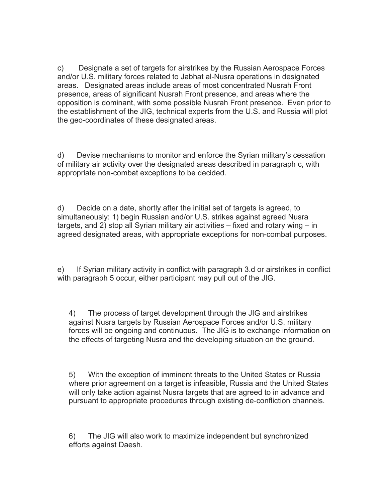c) Designate a set of targets for airstrikes by the Russian Aerospace Forces and/or U.S. military forces related to Jabhat al-Nusra operations in designated areas. Designated areas include areas of most concentrated Nusrah Front presence, areas of significant Nusrah Front presence, and areas where the opposition is dominant, with some possible Nusrah Front presence. Even prior to the establishment of the JIG, technical experts from the U.S. and Russia will plot the geo-coordinates of these designated areas.

d) Devise mechanisms to monitor and enforce the Syrian military's cessation of military air activity over the designated areas described in paragraph c, with appropriate non-combat exceptions to be decided.

d) Decide on a date, shortly after the initial set of targets is agreed, to simultaneously: 1) begin Russian and/or U.S. strikes against agreed Nusra targets, and 2) stop all Syrian military air activities – fixed and rotary wing – in agreed designated areas, with appropriate exceptions for non-combat purposes.

e) If Syrian military activity in conflict with paragraph 3.d or airstrikes in conflict with paragraph 5 occur, either participant may pull out of the JIG.

4) The process of target development through the JIG and airstrikes against Nusra targets by Russian Aerospace Forces and/or U.S. military forces will be ongoing and continuous. The JIG is to exchange information on the effects of targeting Nusra and the developing situation on the ground.

5) With the exception of imminent threats to the United States or Russia where prior agreement on a target is infeasible, Russia and the United States will only take action against Nusra targets that are agreed to in advance and pursuant to appropriate procedures through existing de-confliction channels.

6) The JIG will also work to maximize independent but synchronized efforts against Daesh.